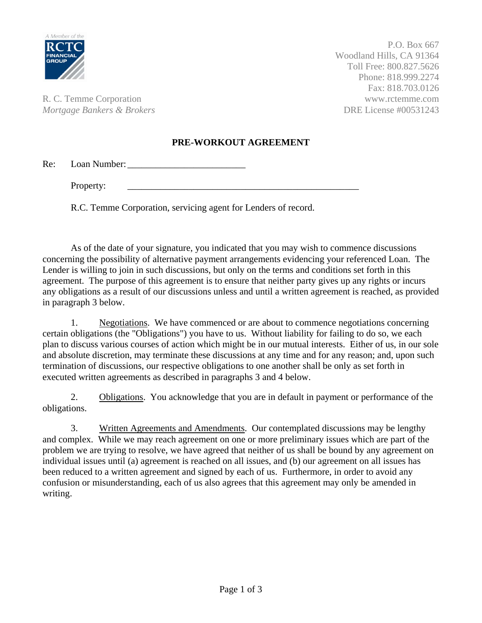

P.O. Box 667 Woodland Hills, CA 91364 Toll Free: 800.827.5626 Phone: 818.999.2274 Fax: 818.703.0126

R. C. Temme Corporation www.rctemme.com *Mortgage Bankers & Brokers*  $\overline{O(1)}$  DRE License #00531243

## **PRE-WORKOUT AGREEMENT**

Re: Loan Number: \_\_\_\_\_\_\_\_\_\_\_\_\_\_\_\_\_\_\_\_\_\_\_\_\_

Property:

R.C. Temme Corporation, servicing agent for Lenders of record.

As of the date of your signature, you indicated that you may wish to commence discussions concerning the possibility of alternative payment arrangements evidencing your referenced Loan. The Lender is willing to join in such discussions, but only on the terms and conditions set forth in this agreement. The purpose of this agreement is to ensure that neither party gives up any rights or incurs any obligations as a result of our discussions unless and until a written agreement is reached, as provided in paragraph 3 below.

1. Negotiations. We have commenced or are about to commence negotiations concerning certain obligations (the "Obligations") you have to us. Without liability for failing to do so, we each plan to discuss various courses of action which might be in our mutual interests. Either of us, in our sole and absolute discretion, may terminate these discussions at any time and for any reason; and, upon such termination of discussions, our respective obligations to one another shall be only as set forth in executed written agreements as described in paragraphs 3 and 4 below.

2. Obligations. You acknowledge that you are in default in payment or performance of the obligations.

3. Written Agreements and Amendments. Our contemplated discussions may be lengthy and complex. While we may reach agreement on one or more preliminary issues which are part of the problem we are trying to resolve, we have agreed that neither of us shall be bound by any agreement on individual issues until (a) agreement is reached on all issues, and (b) our agreement on all issues has been reduced to a written agreement and signed by each of us. Furthermore, in order to avoid any confusion or misunderstanding, each of us also agrees that this agreement may only be amended in writing.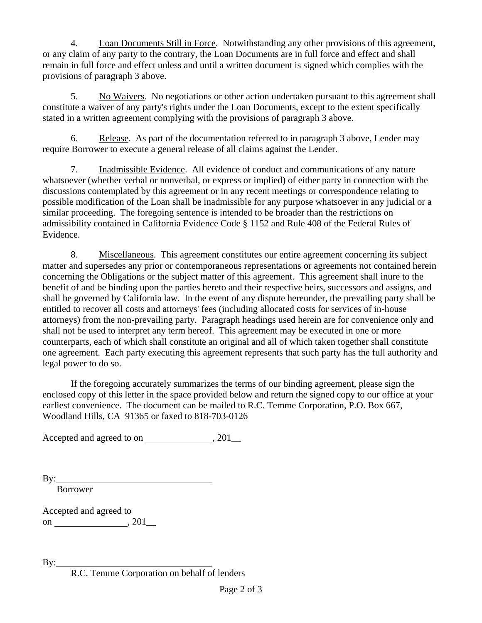4. Loan Documents Still in Force. Notwithstanding any other provisions of this agreement, or any claim of any party to the contrary, the Loan Documents are in full force and effect and shall remain in full force and effect unless and until a written document is signed which complies with the provisions of paragraph 3 above.

5. No Waivers. No negotiations or other action undertaken pursuant to this agreement shall constitute a waiver of any party's rights under the Loan Documents, except to the extent specifically stated in a written agreement complying with the provisions of paragraph 3 above.

6. Release. As part of the documentation referred to in paragraph 3 above, Lender may require Borrower to execute a general release of all claims against the Lender.

7. Inadmissible Evidence. All evidence of conduct and communications of any nature whatsoever (whether verbal or nonverbal, or express or implied) of either party in connection with the discussions contemplated by this agreement or in any recent meetings or correspondence relating to possible modification of the Loan shall be inadmissible for any purpose whatsoever in any judicial or a similar proceeding. The foregoing sentence is intended to be broader than the restrictions on admissibility contained in California Evidence Code § 1152 and Rule 408 of the Federal Rules of Evidence.

8. Miscellaneous. This agreement constitutes our entire agreement concerning its subject matter and supersedes any prior or contemporaneous representations or agreements not contained herein concerning the Obligations or the subject matter of this agreement. This agreement shall inure to the benefit of and be binding upon the parties hereto and their respective heirs, successors and assigns, and shall be governed by California law. In the event of any dispute hereunder, the prevailing party shall be entitled to recover all costs and attorneys' fees (including allocated costs for services of in-house attorneys) from the non-prevailing party. Paragraph headings used herein are for convenience only and shall not be used to interpret any term hereof. This agreement may be executed in one or more counterparts, each of which shall constitute an original and all of which taken together shall constitute one agreement. Each party executing this agreement represents that such party has the full authority and legal power to do so.

If the foregoing accurately summarizes the terms of our binding agreement, please sign the enclosed copy of this letter in the space provided below and return the signed copy to our office at your earliest convenience. The document can be mailed to R.C. Temme Corporation, P.O. Box 667, Woodland Hills, CA 91365 or faxed to 818-703-0126

Accepted and agreed to on  $\qquad \qquad .201$ 

By:

Borrower

Accepted and agreed to on  $\_\_\_$ , 201 $\_\_\_$ 

By:

R.C. Temme Corporation on behalf of lenders